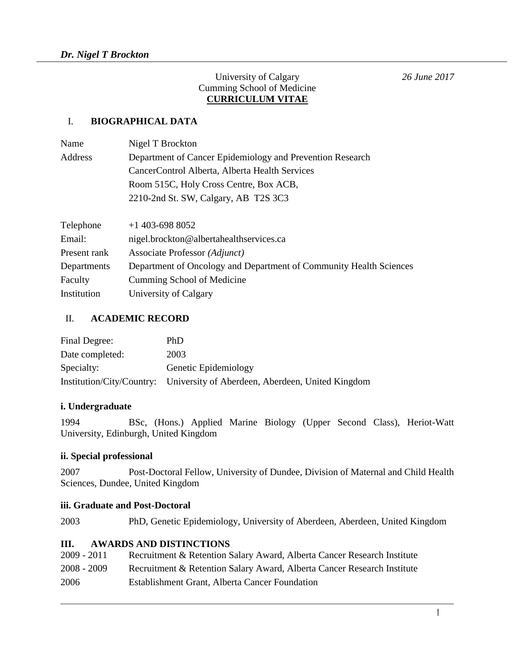#### University of Calgary *26 June 2017* Cumming School of Medicine **CURRICULUM VITAE**

### I. **BIOGRAPHICAL DATA**

| Name         | Nigel T Brockton                                                   |
|--------------|--------------------------------------------------------------------|
| Address      | Department of Cancer Epidemiology and Prevention Research          |
|              | CancerControl Alberta, Alberta Health Services                     |
|              | Room 515C, Holy Cross Centre, Box ACB,                             |
|              | 2210-2nd St. SW, Calgary, AB T2S 3C3                               |
|              |                                                                    |
| Telephone    | $+1$ 403-698 8052                                                  |
| Email:       | nigel.brockton@albertahealthservices.ca                            |
| Present rank | Associate Professor (Adjunct)                                      |
| Departments  | Department of Oncology and Department of Community Health Sciences |
| Faculty      | Cumming School of Medicine                                         |
| Institution  | University of Calgary                                              |

#### II. **ACADEMIC RECORD**

| Final Degree:   | PhD                                                                        |
|-----------------|----------------------------------------------------------------------------|
| Date completed: | 2003                                                                       |
| Specialty:      | Genetic Epidemiology                                                       |
|                 | Institution/City/Country: University of Aberdeen, Aberdeen, United Kingdom |

### **i. Undergraduate**

1994 BSc, (Hons.) Applied Marine Biology (Upper Second Class), Heriot-Watt University, Edinburgh, United Kingdom

### **ii. Special professional**

2007 Post-Doctoral Fellow, University of Dundee, Division of Maternal and Child Health Sciences, Dundee, United Kingdom

#### **iii. Graduate and Post-Doctoral**

2003 PhD, Genetic Epidemiology, University of Aberdeen, Aberdeen, United Kingdom

#### **III. AWARDS AND DISTINCTIONS**

| 2009 - 2011   | Recruitment & Retention Salary Award, Alberta Cancer Research Institute |
|---------------|-------------------------------------------------------------------------|
| $2008 - 2009$ | Recruitment & Retention Salary Award, Alberta Cancer Research Institute |
| 2006          | Establishment Grant, Alberta Cancer Foundation                          |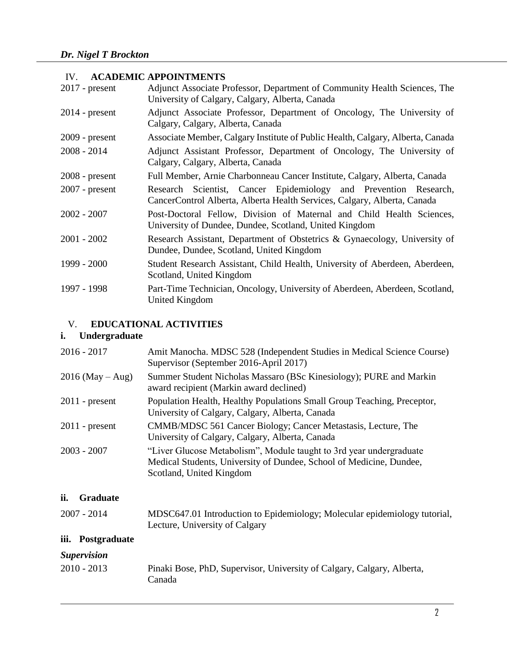#### IV. **ACADEMIC APPOINTMENTS**

| $2017$ - present | Adjunct Associate Professor, Department of Community Health Sciences, The<br>University of Calgary, Calgary, Alberta, Canada                 |
|------------------|----------------------------------------------------------------------------------------------------------------------------------------------|
| $2014$ - present | Adjunct Associate Professor, Department of Oncology, The University of<br>Calgary, Calgary, Alberta, Canada                                  |
| $2009$ - present | Associate Member, Calgary Institute of Public Health, Calgary, Alberta, Canada                                                               |
| $2008 - 2014$    | Adjunct Assistant Professor, Department of Oncology, The University of<br>Calgary, Calgary, Alberta, Canada                                  |
| $2008$ - present | Full Member, Arnie Charbonneau Cancer Institute, Calgary, Alberta, Canada                                                                    |
| $2007$ - present | Research Scientist, Cancer Epidemiology and Prevention Research,<br>CancerControl Alberta, Alberta Health Services, Calgary, Alberta, Canada |
| $2002 - 2007$    | Post-Doctoral Fellow, Division of Maternal and Child Health Sciences,<br>University of Dundee, Dundee, Scotland, United Kingdom              |
| $2001 - 2002$    | Research Assistant, Department of Obstetrics & Gynaecology, University of<br>Dundee, Dundee, Scotland, United Kingdom                        |
| 1999 - 2000      | Student Research Assistant, Child Health, University of Aberdeen, Aberdeen,<br>Scotland, United Kingdom                                      |
| 1997 - 1998      | Part-Time Technician, Oncology, University of Aberdeen, Aberdeen, Scotland,<br>United Kingdom                                                |

## V. **EDUCATIONAL ACTIVITIES**

# **i. Undergraduate**

| $2016 - 2017$      | Amit Manocha. MDSC 528 (Independent Studies in Medical Science Course)<br>Supervisor (September 2016-April 2017)                                                       |
|--------------------|------------------------------------------------------------------------------------------------------------------------------------------------------------------------|
| $2016$ (May – Aug) | Summer Student Nicholas Massaro (BSc Kinesiology); PURE and Markin<br>award recipient (Markin award declined)                                                          |
| $2011$ - present   | Population Health, Healthy Populations Small Group Teaching, Preceptor,<br>University of Calgary, Calgary, Alberta, Canada                                             |
| $2011$ - present   | CMMB/MDSC 561 Cancer Biology; Cancer Metastasis, Lecture, The<br>University of Calgary, Calgary, Alberta, Canada                                                       |
| $2003 - 2007$      | "Liver Glucose Metabolism", Module taught to 3rd year undergraduate<br>Medical Students, University of Dundee, School of Medicine, Dundee,<br>Scotland, United Kingdom |

## **ii. Graduate**

| $2007 - 2014$ | MDSC647.01 Introduction to Epidemiology; Molecular epidemiology tutorial, |
|---------------|---------------------------------------------------------------------------|
|               | Lecture, University of Calgary                                            |

# **iii. Postgraduate**

## *Supervision*

| $2010 - 2013$ | Pinaki Bose, PhD, Supervisor, University of Calgary, Calgary, Alberta, |
|---------------|------------------------------------------------------------------------|
|               | Canada                                                                 |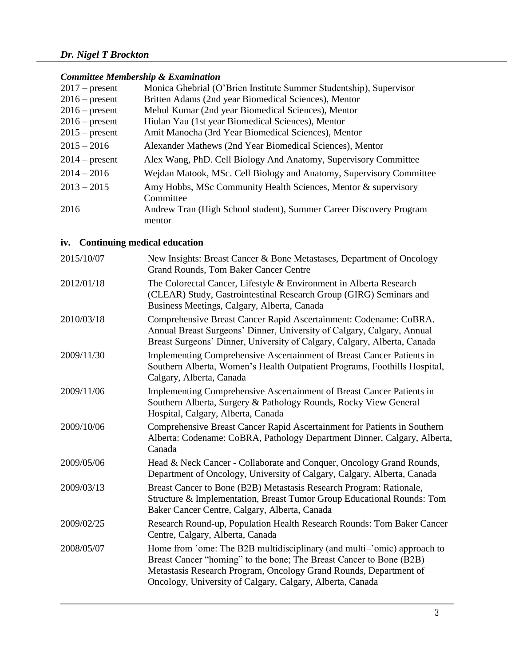### *Committee Membership & Examination*

| $2017$ – present | Monica Ghebrial (O'Brien Institute Summer Studentship), Supervisor  |
|------------------|---------------------------------------------------------------------|
| $2016$ – present | Britten Adams (2nd year Biomedical Sciences), Mentor                |
| $2016$ – present | Mehul Kumar (2nd year Biomedical Sciences), Mentor                  |
| $2016$ – present | Hiulan Yau (1st year Biomedical Sciences), Mentor                   |
| $2015$ – present | Amit Manocha (3rd Year Biomedical Sciences), Mentor                 |
| $2015 - 2016$    | Alexander Mathews (2nd Year Biomedical Sciences), Mentor            |
| $2014$ – present | Alex Wang, PhD. Cell Biology And Anatomy, Supervisory Committee     |
| $2014 - 2016$    | Wejdan Matook, MSc. Cell Biology and Anatomy, Supervisory Committee |
| $2013 - 2015$    | Amy Hobbs, MSc Community Health Sciences, Mentor & supervisory      |
|                  | Committee                                                           |
| 2016             | Andrew Tran (High School student), Summer Career Discovery Program  |
|                  | mentor                                                              |

## **iv. Continuing medical education**

| 2015/10/07 | New Insights: Breast Cancer & Bone Metastases, Department of Oncology<br><b>Grand Rounds, Tom Baker Cancer Centre</b>                                                                                                                                                            |
|------------|----------------------------------------------------------------------------------------------------------------------------------------------------------------------------------------------------------------------------------------------------------------------------------|
| 2012/01/18 | The Colorectal Cancer, Lifestyle & Environment in Alberta Research<br>(CLEAR) Study, Gastrointestinal Research Group (GIRG) Seminars and<br>Business Meetings, Calgary, Alberta, Canada                                                                                          |
| 2010/03/18 | Comprehensive Breast Cancer Rapid Ascertainment: Codename: CoBRA.<br>Annual Breast Surgeons' Dinner, University of Calgary, Calgary, Annual<br>Breast Surgeons' Dinner, University of Calgary, Calgary, Alberta, Canada                                                          |
| 2009/11/30 | Implementing Comprehensive Ascertainment of Breast Cancer Patients in<br>Southern Alberta, Women's Health Outpatient Programs, Foothills Hospital,<br>Calgary, Alberta, Canada                                                                                                   |
| 2009/11/06 | Implementing Comprehensive Ascertainment of Breast Cancer Patients in<br>Southern Alberta, Surgery & Pathology Rounds, Rocky View General<br>Hospital, Calgary, Alberta, Canada                                                                                                  |
| 2009/10/06 | Comprehensive Breast Cancer Rapid Ascertainment for Patients in Southern<br>Alberta: Codename: CoBRA, Pathology Department Dinner, Calgary, Alberta,<br>Canada                                                                                                                   |
| 2009/05/06 | Head & Neck Cancer - Collaborate and Conquer, Oncology Grand Rounds,<br>Department of Oncology, University of Calgary, Calgary, Alberta, Canada                                                                                                                                  |
| 2009/03/13 | Breast Cancer to Bone (B2B) Metastasis Research Program: Rationale,<br>Structure & Implementation, Breast Tumor Group Educational Rounds: Tom<br>Baker Cancer Centre, Calgary, Alberta, Canada                                                                                   |
| 2009/02/25 | Research Round-up, Population Health Research Rounds: Tom Baker Cancer<br>Centre, Calgary, Alberta, Canada                                                                                                                                                                       |
| 2008/05/07 | Home from 'ome: The B2B multidisciplinary (and multi-'omic) approach to<br>Breast Cancer "homing" to the bone; The Breast Cancer to Bone (B2B)<br>Metastasis Research Program, Oncology Grand Rounds, Department of<br>Oncology, University of Calgary, Calgary, Alberta, Canada |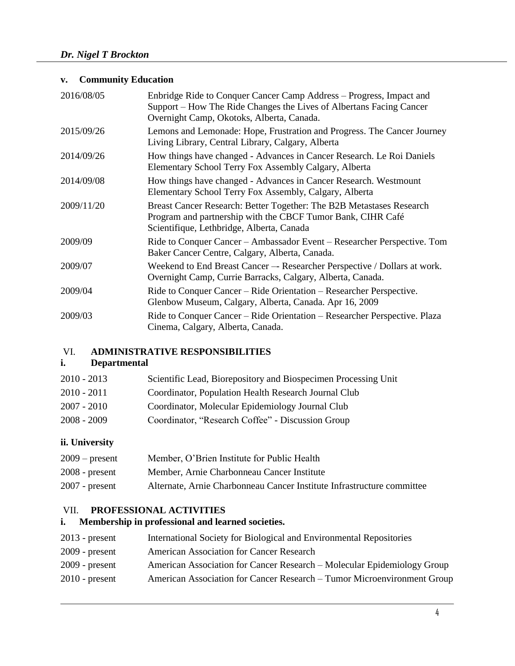## **v. Community Education**

| 2016/08/05 | Enbridge Ride to Conquer Cancer Camp Address – Progress, Impact and<br>Support – How The Ride Changes the Lives of Albertans Facing Cancer<br>Overnight Camp, Okotoks, Alberta, Canada. |
|------------|-----------------------------------------------------------------------------------------------------------------------------------------------------------------------------------------|
| 2015/09/26 | Lemons and Lemonade: Hope, Frustration and Progress. The Cancer Journey<br>Living Library, Central Library, Calgary, Alberta                                                            |
| 2014/09/26 | How things have changed - Advances in Cancer Research. Le Roi Daniels<br>Elementary School Terry Fox Assembly Calgary, Alberta                                                          |
| 2014/09/08 | How things have changed - Advances in Cancer Research. Westmount<br>Elementary School Terry Fox Assembly, Calgary, Alberta                                                              |
| 2009/11/20 | Breast Cancer Research: Better Together: The B2B Metastases Research<br>Program and partnership with the CBCF Tumor Bank, CIHR Café<br>Scientifique, Lethbridge, Alberta, Canada        |
| 2009/09    | Ride to Conquer Cancer - Ambassador Event - Researcher Perspective. Tom<br>Baker Cancer Centre, Calgary, Alberta, Canada.                                                               |
| 2009/07    | Weekend to End Breast Cancer -- Researcher Perspective / Dollars at work.<br>Overnight Camp, Currie Barracks, Calgary, Alberta, Canada.                                                 |
| 2009/04    | Ride to Conquer Cancer – Ride Orientation – Researcher Perspective.<br>Glenbow Museum, Calgary, Alberta, Canada. Apr 16, 2009                                                           |
| 2009/03    | Ride to Conquer Cancer - Ride Orientation - Researcher Perspective. Plaza<br>Cinema, Calgary, Alberta, Canada.                                                                          |

#### VI. **ADMINISTRATIVE RESPONSIBILITIES**

### **i. Departmental**

| $2010 - 2013$<br>Scientific Lead, Biorepository and Biospecimen Processing Unit |
|---------------------------------------------------------------------------------|
|---------------------------------------------------------------------------------|

| Coordinator, Population Health Research Journal Club |
|------------------------------------------------------|
|                                                      |

- 2007 2010 Coordinator, Molecular Epidemiology Journal Club
- 2008 2009 Coordinator, "Research Coffee" Discussion Group

## **ii. University**

| $2009$ – present | Member, O'Brien Institute for Public Health                            |
|------------------|------------------------------------------------------------------------|
| $2008$ - present | Member, Arnie Charbonneau Cancer Institute                             |
| $2007$ - present | Alternate, Arnie Charbonneau Cancer Institute Infrastructure committee |

### VII. **PROFESSIONAL ACTIVITIES**

## **i. Membership in professional and learned societies.**

| $2013$ - present | International Society for Biological and Environmental Repositories     |
|------------------|-------------------------------------------------------------------------|
| $2009$ - present | <b>American Association for Cancer Research</b>                         |
| $2009$ - present | American Association for Cancer Research – Molecular Epidemiology Group |
| $2010$ - present | American Association for Cancer Research – Tumor Microenvironment Group |
|                  |                                                                         |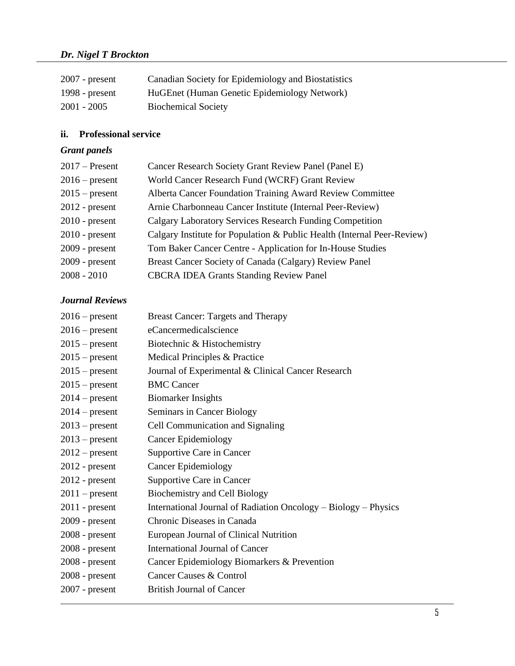| $2007$ - present | Canadian Society for Epidemiology and Biostatistics |
|------------------|-----------------------------------------------------|
| 1998 - $present$ | HuGEnet (Human Genetic Epidemiology Network)        |
| 2001 - 2005      | <b>Biochemical Society</b>                          |

### **ii. Professional service**

## *Grant panels*

| $2017$ – Present | Cancer Research Society Grant Review Panel (Panel E)                    |
|------------------|-------------------------------------------------------------------------|
| $2016$ – present | World Cancer Research Fund (WCRF) Grant Review                          |
| $2015$ – present | Alberta Cancer Foundation Training Award Review Committee               |
| $2012$ - present | Arnie Charbonneau Cancer Institute (Internal Peer-Review)               |
| $2010$ - present | <b>Calgary Laboratory Services Research Funding Competition</b>         |
| $2010$ - present | Calgary Institute for Population & Public Health (Internal Peer-Review) |
| $2009$ - present | Tom Baker Cancer Centre - Application for In-House Studies              |
| $2009$ - present | Breast Cancer Society of Canada (Calgary) Review Panel                  |
| $2008 - 2010$    | <b>CBCRA IDEA Grants Standing Review Panel</b>                          |
|                  |                                                                         |

## *Journal Reviews*

| $2016$ – present | <b>Breast Cancer: Targets and Therapy</b>                       |
|------------------|-----------------------------------------------------------------|
| $2016$ – present | eCancermedicalscience                                           |
| $2015$ – present | Biotechnic & Histochemistry                                     |
| $2015$ – present | Medical Principles & Practice                                   |
| $2015$ – present | Journal of Experimental & Clinical Cancer Research              |
| $2015$ – present | <b>BMC</b> Cancer                                               |
| $2014$ – present | <b>Biomarker Insights</b>                                       |
| $2014$ – present | Seminars in Cancer Biology                                      |
| $2013$ – present | Cell Communication and Signaling                                |
| $2013$ – present | <b>Cancer Epidemiology</b>                                      |
| $2012$ – present | Supportive Care in Cancer                                       |
| $2012$ - present | <b>Cancer Epidemiology</b>                                      |
| $2012$ - present | Supportive Care in Cancer                                       |
| $2011$ – present | <b>Biochemistry and Cell Biology</b>                            |
| $2011$ - present | International Journal of Radiation Oncology – Biology – Physics |
| $2009$ - present | Chronic Diseases in Canada                                      |
| $2008$ - present | European Journal of Clinical Nutrition                          |
| $2008$ - present | <b>International Journal of Cancer</b>                          |
| $2008$ - present | Cancer Epidemiology Biomarkers & Prevention                     |
| $2008$ - present | Cancer Causes & Control                                         |
| $2007$ - present | <b>British Journal of Cancer</b>                                |
|                  |                                                                 |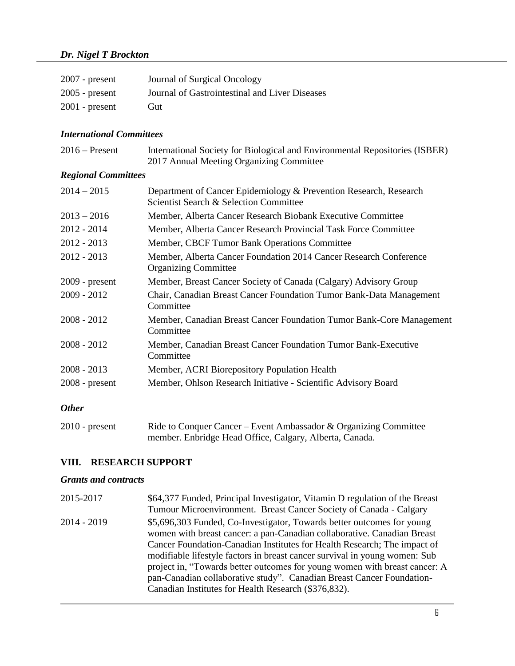| $2007$ - present | Journal of Surgical Oncology                   |
|------------------|------------------------------------------------|
| $2005$ - present | Journal of Gastrointestinal and Liver Diseases |
| $2001$ - present | Gut)                                           |

#### *International Committees*

| $2016$ – Present | International Society for Biological and Environmental Repositories (ISBER) |
|------------------|-----------------------------------------------------------------------------|
|                  | 2017 Annual Meeting Organizing Committee                                    |

## *Regional Committees*

| $2014 - 2015$    | Department of Cancer Epidemiology & Prevention Research, Research<br>Scientist Search & Selection Committee |
|------------------|-------------------------------------------------------------------------------------------------------------|
| $2013 - 2016$    | Member, Alberta Cancer Research Biobank Executive Committee                                                 |
| $2012 - 2014$    | Member, Alberta Cancer Research Provincial Task Force Committee                                             |
| $2012 - 2013$    | Member, CBCF Tumor Bank Operations Committee                                                                |
| $2012 - 2013$    | Member, Alberta Cancer Foundation 2014 Cancer Research Conference<br><b>Organizing Committee</b>            |
| $2009$ - present | Member, Breast Cancer Society of Canada (Calgary) Advisory Group                                            |
| $2009 - 2012$    | Chair, Canadian Breast Cancer Foundation Tumor Bank-Data Management<br>Committee                            |
| $2008 - 2012$    | Member, Canadian Breast Cancer Foundation Tumor Bank-Core Management<br>Committee                           |
| $2008 - 2012$    | Member, Canadian Breast Cancer Foundation Tumor Bank-Executive<br>Committee                                 |
| $2008 - 2013$    | Member, ACRI Biorepository Population Health                                                                |
| $2008$ - present | Member, Ohlson Research Initiative - Scientific Advisory Board                                              |
| <b>Other</b>     |                                                                                                             |

| $2010$ - present | Ride to Conquer Cancer – Event Ambassador & Organizing Committee |
|------------------|------------------------------------------------------------------|
|                  | member. Enbridge Head Office, Calgary, Alberta, Canada.          |

## **VIII. RESEARCH SUPPORT**

## *Grants and contracts*

| 2015-2017   | \$64,377 Funded, Principal Investigator, Vitamin D regulation of the Breast                                                                                                                                                                                                                                                                                                                                                                                                                                                |
|-------------|----------------------------------------------------------------------------------------------------------------------------------------------------------------------------------------------------------------------------------------------------------------------------------------------------------------------------------------------------------------------------------------------------------------------------------------------------------------------------------------------------------------------------|
|             | Tumour Microenvironment. Breast Cancer Society of Canada - Calgary                                                                                                                                                                                                                                                                                                                                                                                                                                                         |
| 2014 - 2019 | \$5,696,303 Funded, Co-Investigator, Towards better outcomes for young<br>women with breast cancer: a pan-Canadian collaborative. Canadian Breast<br>Cancer Foundation-Canadian Institutes for Health Research; The impact of<br>modifiable lifestyle factors in breast cancer survival in young women: Sub<br>project in, "Towards better outcomes for young women with breast cancer: A<br>pan-Canadian collaborative study". Canadian Breast Cancer Foundation-<br>Canadian Institutes for Health Research (\$376,832). |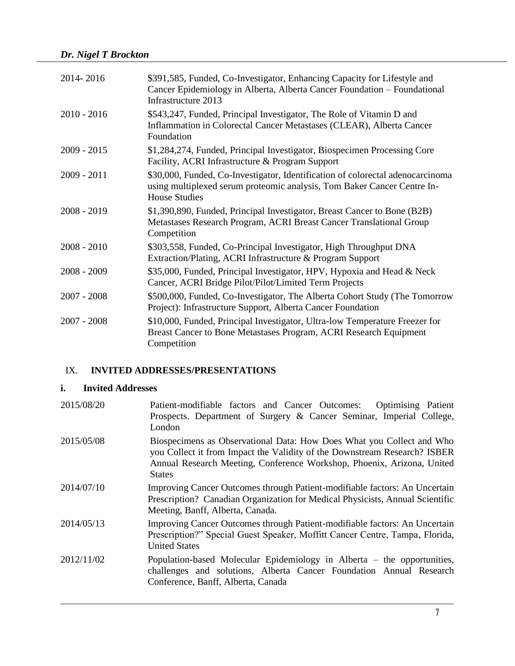| 2014-2016     | \$391,585, Funded, Co-Investigator, Enhancing Capacity for Lifestyle and<br>Cancer Epidemiology in Alberta, Alberta Cancer Foundation – Foundational<br>Infrastructure 2013       |
|---------------|-----------------------------------------------------------------------------------------------------------------------------------------------------------------------------------|
| $2010 - 2016$ | \$543,247, Funded, Principal Investigator, The Role of Vitamin D and<br>Inflammation in Colorectal Cancer Metastases (CLEAR), Alberta Cancer<br>Foundation                        |
| $2009 - 2015$ | \$1,284,274, Funded, Principal Investigator, Biospecimen Processing Core<br>Facility, ACRI Infrastructure & Program Support                                                       |
| $2009 - 2011$ | \$30,000, Funded, Co-Investigator, Identification of colorectal adenocarcinoma<br>using multiplexed serum proteomic analysis, Tom Baker Cancer Centre In-<br><b>House Studies</b> |
| $2008 - 2019$ | \$1,390,890, Funded, Principal Investigator, Breast Cancer to Bone (B2B)<br>Metastases Research Program, ACRI Breast Cancer Translational Group<br>Competition                    |
| $2008 - 2010$ | \$303,558, Funded, Co-Principal Investigator, High Throughput DNA<br>Extraction/Plating, ACRI Infrastructure & Program Support                                                    |
| $2008 - 2009$ | \$35,000, Funded, Principal Investigator, HPV, Hypoxia and Head & Neck<br>Cancer, ACRI Bridge Pilot/Pilot/Limited Term Projects                                                   |
| $2007 - 2008$ | \$500,000, Funded, Co-Investigator, The Alberta Cohort Study (The Tomorrow<br>Project): Infrastructure Support, Alberta Cancer Foundation                                         |
| $2007 - 2008$ | \$10,000, Funded, Principal Investigator, Ultra-low Temperature Freezer for<br>Breast Cancer to Bone Metastases Program, ACRI Research Equipment<br>Competition                   |

## IX. **INVITED ADDRESSES/PRESENTATIONS**

### **i. Invited Addresses**

| 2015/08/20 | Patient-modifiable factors and Cancer Outcomes:<br><b>Optimising Patient</b><br>Prospects. Department of Surgery & Cancer Seminar, Imperial College,<br>London                                                                                |
|------------|-----------------------------------------------------------------------------------------------------------------------------------------------------------------------------------------------------------------------------------------------|
| 2015/05/08 | Biospecimens as Observational Data: How Does What you Collect and Who<br>you Collect it from Impact the Validity of the Downstream Research? ISBER<br>Annual Research Meeting, Conference Workshop, Phoenix, Arizona, United<br><b>States</b> |
| 2014/07/10 | Improving Cancer Outcomes through Patient-modifiable factors: An Uncertain<br>Prescription? Canadian Organization for Medical Physicists, Annual Scientific<br>Meeting, Banff, Alberta, Canada.                                               |
| 2014/05/13 | Improving Cancer Outcomes through Patient-modifiable factors: An Uncertain<br>Prescription?" Special Guest Speaker, Moffitt Cancer Centre, Tampa, Florida,<br><b>United States</b>                                                            |
| 2012/11/02 | Population-based Molecular Epidemiology in Alberta – the opportunities,<br>challenges and solutions, Alberta Cancer Foundation Annual Research<br>Conference, Banff, Alberta, Canada                                                          |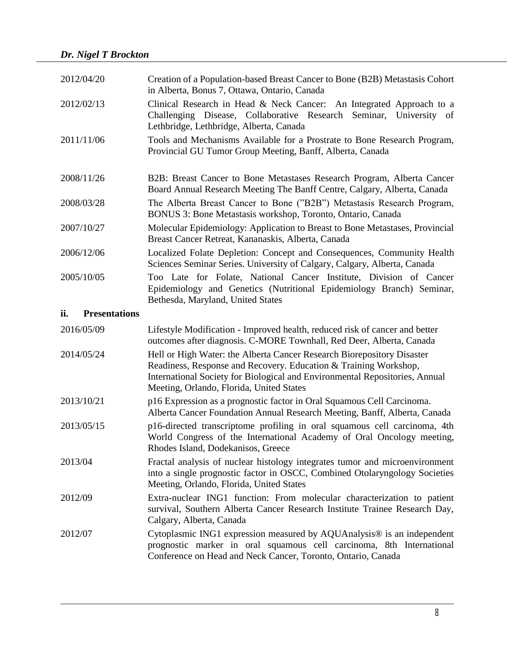| 2012/04/20                  | Creation of a Population-based Breast Cancer to Bone (B2B) Metastasis Cohort<br>in Alberta, Bonus 7, Ottawa, Ontario, Canada                                                                                                                                          |
|-----------------------------|-----------------------------------------------------------------------------------------------------------------------------------------------------------------------------------------------------------------------------------------------------------------------|
| 2012/02/13                  | Clinical Research in Head & Neck Cancer: An Integrated Approach to a<br>Challenging Disease, Collaborative Research Seminar, University of<br>Lethbridge, Lethbridge, Alberta, Canada                                                                                 |
| 2011/11/06                  | Tools and Mechanisms Available for a Prostrate to Bone Research Program,<br>Provincial GU Tumor Group Meeting, Banff, Alberta, Canada                                                                                                                                 |
| 2008/11/26                  | B2B: Breast Cancer to Bone Metastases Research Program, Alberta Cancer<br>Board Annual Research Meeting The Banff Centre, Calgary, Alberta, Canada                                                                                                                    |
| 2008/03/28                  | The Alberta Breast Cancer to Bone ("B2B") Metastasis Research Program,<br>BONUS 3: Bone Metastasis workshop, Toronto, Ontario, Canada                                                                                                                                 |
| 2007/10/27                  | Molecular Epidemiology: Application to Breast to Bone Metastases, Provincial<br>Breast Cancer Retreat, Kananaskis, Alberta, Canada                                                                                                                                    |
| 2006/12/06                  | Localized Folate Depletion: Concept and Consequences, Community Health<br>Sciences Seminar Series. University of Calgary, Calgary, Alberta, Canada                                                                                                                    |
| 2005/10/05                  | Too Late for Folate, National Cancer Institute, Division of Cancer<br>Epidemiology and Genetics (Nutritional Epidemiology Branch) Seminar,<br>Bethesda, Maryland, United States                                                                                       |
| <b>Presentations</b><br>ii. |                                                                                                                                                                                                                                                                       |
|                             |                                                                                                                                                                                                                                                                       |
| 2016/05/09                  | Lifestyle Modification - Improved health, reduced risk of cancer and better<br>outcomes after diagnosis. C-MORE Townhall, Red Deer, Alberta, Canada                                                                                                                   |
| 2014/05/24                  | Hell or High Water: the Alberta Cancer Research Biorepository Disaster<br>Readiness, Response and Recovery. Education & Training Workshop,<br>International Society for Biological and Environmental Repositories, Annual<br>Meeting, Orlando, Florida, United States |
| 2013/10/21                  | p16 Expression as a prognostic factor in Oral Squamous Cell Carcinoma.<br>Alberta Cancer Foundation Annual Research Meeting, Banff, Alberta, Canada                                                                                                                   |
| 2013/05/15                  | p16-directed transcriptome profiling in oral squamous cell carcinoma, 4th<br>World Congress of the International Academy of Oral Oncology meeting,<br>Rhodes Island, Dodekanisos, Greece                                                                              |
| 2013/04                     | Fractal analysis of nuclear histology integrates tumor and microenvironment<br>into a single prognostic factor in OSCC, Combined Otolaryngology Societies<br>Meeting, Orlando, Florida, United States                                                                 |
| 2012/09                     | Extra-nuclear ING1 function: From molecular characterization to patient<br>survival, Southern Alberta Cancer Research Institute Trainee Research Day,<br>Calgary, Alberta, Canada                                                                                     |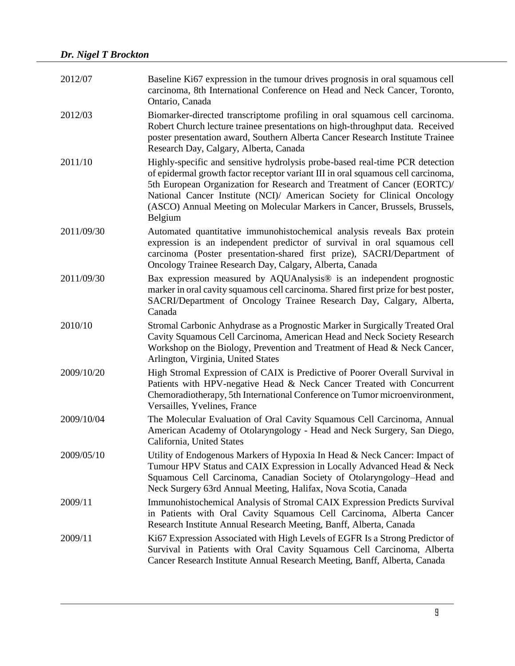| 2012/07    | Baseline Ki67 expression in the tumour drives prognosis in oral squamous cell<br>carcinoma, 8th International Conference on Head and Neck Cancer, Toronto,<br>Ontario, Canada                                                                                                                                                                                                                                  |
|------------|----------------------------------------------------------------------------------------------------------------------------------------------------------------------------------------------------------------------------------------------------------------------------------------------------------------------------------------------------------------------------------------------------------------|
| 2012/03    | Biomarker-directed transcriptome profiling in oral squamous cell carcinoma.<br>Robert Church lecture trainee presentations on high-throughput data. Received<br>poster presentation award, Southern Alberta Cancer Research Institute Trainee<br>Research Day, Calgary, Alberta, Canada                                                                                                                        |
| 2011/10    | Highly-specific and sensitive hydrolysis probe-based real-time PCR detection<br>of epidermal growth factor receptor variant III in oral squamous cell carcinoma,<br>5th European Organization for Research and Treatment of Cancer (EORTC)/<br>National Cancer Institute (NCI)/ American Society for Clinical Oncology<br>(ASCO) Annual Meeting on Molecular Markers in Cancer, Brussels, Brussels,<br>Belgium |
| 2011/09/30 | Automated quantitative immunohistochemical analysis reveals Bax protein<br>expression is an independent predictor of survival in oral squamous cell<br>carcinoma (Poster presentation-shared first prize), SACRI/Department of<br>Oncology Trainee Research Day, Calgary, Alberta, Canada                                                                                                                      |
| 2011/09/30 | Bax expression measured by AQUAnalysis® is an independent prognostic<br>marker in oral cavity squamous cell carcinoma. Shared first prize for best poster,<br>SACRI/Department of Oncology Trainee Research Day, Calgary, Alberta,<br>Canada                                                                                                                                                                   |
| 2010/10    | Stromal Carbonic Anhydrase as a Prognostic Marker in Surgically Treated Oral<br>Cavity Squamous Cell Carcinoma, American Head and Neck Society Research<br>Workshop on the Biology, Prevention and Treatment of Head & Neck Cancer,<br>Arlington, Virginia, United States                                                                                                                                      |
| 2009/10/20 | High Stromal Expression of CAIX is Predictive of Poorer Overall Survival in<br>Patients with HPV-negative Head & Neck Cancer Treated with Concurrent<br>Chemoradiotherapy, 5th International Conference on Tumor microenvironment,<br>Versailles, Yvelines, France                                                                                                                                             |
| 2009/10/04 | The Molecular Evaluation of Oral Cavity Squamous Cell Carcinoma, Annual<br>American Academy of Otolaryngology - Head and Neck Surgery, San Diego,<br>California, United States                                                                                                                                                                                                                                 |
| 2009/05/10 | Utility of Endogenous Markers of Hypoxia In Head & Neck Cancer: Impact of<br>Tumour HPV Status and CAIX Expression in Locally Advanced Head & Neck<br>Squamous Cell Carcinoma, Canadian Society of Otolaryngology-Head and<br>Neck Surgery 63rd Annual Meeting, Halifax, Nova Scotia, Canada                                                                                                                   |
| 2009/11    | Immunohistochemical Analysis of Stromal CAIX Expression Predicts Survival<br>in Patients with Oral Cavity Squamous Cell Carcinoma, Alberta Cancer<br>Research Institute Annual Research Meeting, Banff, Alberta, Canada                                                                                                                                                                                        |
| 2009/11    | Ki67 Expression Associated with High Levels of EGFR Is a Strong Predictor of<br>Survival in Patients with Oral Cavity Squamous Cell Carcinoma, Alberta<br>Cancer Research Institute Annual Research Meeting, Banff, Alberta, Canada                                                                                                                                                                            |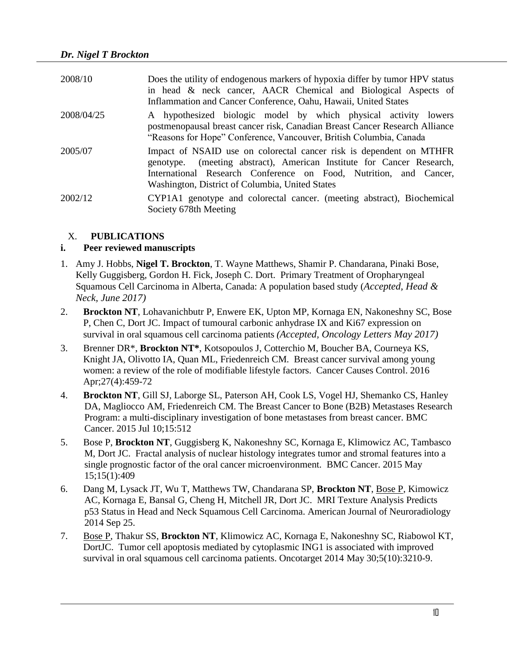| 2008/10    | Does the utility of endogenous markers of hypoxia differ by tumor HPV status<br>in head & neck cancer, AACR Chemical and Biological Aspects of<br>Inflammation and Cancer Conference, Oahu, Hawaii, United States                                                    |
|------------|----------------------------------------------------------------------------------------------------------------------------------------------------------------------------------------------------------------------------------------------------------------------|
| 2008/04/25 | A hypothesized biologic model by which physical activity lowers<br>postmenopausal breast cancer risk, Canadian Breast Cancer Research Alliance<br>"Reasons for Hope" Conference, Vancouver, British Columbia, Canada                                                 |
| 2005/07    | Impact of NSAID use on colorectal cancer risk is dependent on MTHFR<br>genotype. (meeting abstract), American Institute for Cancer Research,<br>International Research Conference on Food, Nutrition, and Cancer,<br>Washington, District of Columbia, United States |
| 2002/12    | CYP1A1 genotype and colorectal cancer. (meeting abstract), Biochemical<br>Society 678th Meeting                                                                                                                                                                      |

### X. **PUBLICATIONS**

#### **i. Peer reviewed manuscripts**

- 1. Amy J. Hobbs, **Nigel T. Brockton**, T. Wayne Matthews, Shamir P. Chandarana, Pinaki Bose, Kelly Guggisberg, Gordon H. Fick, Joseph C. Dort. Primary Treatment of Oropharyngeal Squamous Cell Carcinoma in Alberta, Canada: A population based study (*Accepted, Head & Neck, June 2017)*
- 2. **Brockton NT**, Lohavanichbutr P, Enwere EK, Upton MP, Kornaga EN, Nakoneshny SC, Bose P, Chen C, Dort JC. Impact of tumoural carbonic anhydrase IX and Ki67 expression on survival in oral squamous cell carcinoma patients *(Accepted, Oncology Letters May 2017)*
- 3. Brenner DR\*, **Brockton NT\***, Kotsopoulos J, Cotterchio M, Boucher BA, Courneya KS, Knight JA, Olivotto IA, Quan ML, Friedenreich CM. Breast cancer survival among young women: a review of the role of modifiable lifestyle factors. Cancer Causes Control. 2016 Apr;27(4):459-72
- 4. **Brockton NT**, Gill SJ, Laborge SL, Paterson AH, Cook LS, Vogel HJ, Shemanko CS, Hanley DA, Magliocco AM, Friedenreich CM. The Breast Cancer to Bone (B2B) Metastases Research Program: a multi-disciplinary investigation of bone metastases from breast cancer. BMC Cancer. 2015 Jul 10;15:512
- 5. Bose P, **Brockton NT**, Guggisberg K, Nakoneshny SC, Kornaga E, Klimowicz AC, Tambasco M, Dort JC. Fractal analysis of nuclear histology integrates tumor and stromal features into a single prognostic factor of the oral cancer microenvironment. BMC Cancer. 2015 May 15;15(1):409
- 6. Dang M, Lysack JT, Wu T, Matthews TW, Chandarana SP, **Brockton NT**, Bose P, Kimowicz AC, Kornaga E, Bansal G, Cheng H, Mitchell JR, Dort JC. MRI Texture Analysis Predicts p53 Status in Head and Neck Squamous Cell Carcinoma. American Journal of Neuroradiology 2014 Sep 25.
- 7. Bose P, Thakur SS, **Brockton NT**, Klimowicz AC, Kornaga E, Nakoneshny SC, Riabowol KT, DortJC. Tumor cell apoptosis mediated by cytoplasmic ING1 is associated with improved survival in oral squamous cell carcinoma patients. Oncotarget 2014 May 30;5(10):3210-9.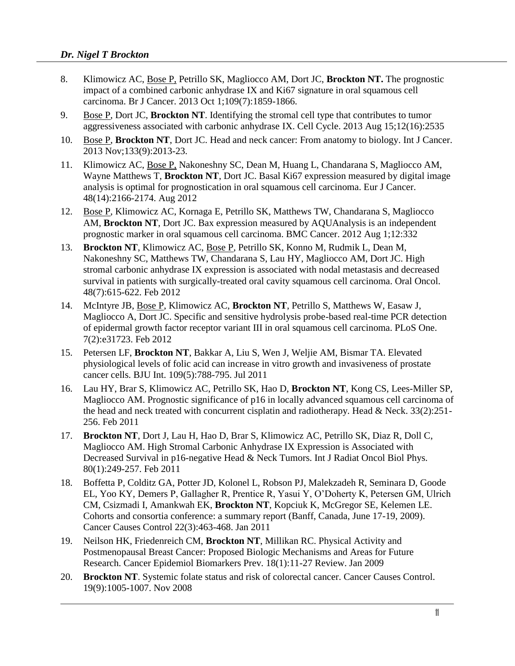- 8. Klimowicz AC, Bose P, Petrillo SK, Magliocco AM, Dort JC, **Brockton NT.** The prognostic impact of a combined carbonic anhydrase IX and Ki67 signature in oral squamous cell carcinoma. Br J Cancer. 2013 Oct 1;109(7):1859-1866.
- 9. Bose P, Dort JC, **Brockton NT**. Identifying the stromal cell type that contributes to tumor aggressiveness associated with carbonic anhydrase IX. Cell Cycle. 2013 Aug 15;12(16):2535
- 10. Bose P, **Brockton NT**, Dort JC. Head and neck cancer: From anatomy to biology. Int J Cancer. 2013 Nov;133(9):2013-23.
- 11. Klimowicz AC, Bose P, Nakoneshny SC, Dean M, Huang L, Chandarana S, Magliocco AM, Wayne Matthews T, **Brockton NT**, Dort JC. Basal Ki67 expression measured by digital image analysis is optimal for prognostication in oral squamous cell carcinoma. Eur J Cancer. 48(14):2166-2174. Aug 2012
- 12. Bose P, Klimowicz AC, Kornaga E, Petrillo SK, Matthews TW, Chandarana S, Magliocco AM, **Brockton NT**, Dort JC. Bax expression measured by AQUAnalysis is an independent prognostic marker in oral squamous cell carcinoma. BMC Cancer. 2012 Aug 1;12:332
- 13. **Brockton NT**, Klimowicz AC, Bose P, Petrillo SK, Konno M, Rudmik L, Dean M, Nakoneshny SC, Matthews TW, Chandarana S, Lau HY, Magliocco AM, Dort JC. High stromal carbonic anhydrase IX expression is associated with nodal metastasis and decreased survival in patients with surgically-treated oral cavity squamous cell carcinoma. Oral Oncol. 48(7):615-622. Feb 2012
- 14. McIntyre JB, Bose P, Klimowicz AC, **Brockton NT**, Petrillo S, Matthews W, Easaw J, Magliocco A, Dort JC. Specific and sensitive hydrolysis probe-based real-time PCR detection of epidermal growth factor receptor variant III in oral squamous cell carcinoma. PLoS One. 7(2):e31723. Feb 2012
- 15. Petersen LF, **Brockton NT**, Bakkar A, Liu S, Wen J, Weljie AM, Bismar TA. Elevated physiological levels of folic acid can increase in vitro growth and invasiveness of prostate cancer cells. BJU Int. 109(5):788-795. Jul 2011
- 16. Lau HY, Brar S, Klimowicz AC, Petrillo SK, Hao D, **Brockton NT**, Kong CS, Lees-Miller SP, Magliocco AM. Prognostic significance of p16 in locally advanced squamous cell carcinoma of the head and neck treated with concurrent cisplatin and radiotherapy. Head & Neck. 33(2):251- 256. Feb 2011
- 17. **Brockton NT**, Dort J, Lau H, Hao D, Brar S, Klimowicz AC, Petrillo SK, Diaz R, Doll C, Magliocco AM. High Stromal Carbonic Anhydrase IX Expression is Associated with Decreased Survival in p16-negative Head & Neck Tumors. Int J Radiat Oncol Biol Phys. 80(1):249-257. Feb 2011
- 18. Boffetta P, Colditz GA, Potter JD, Kolonel L, Robson PJ, Malekzadeh R, Seminara D, Goode EL, Yoo KY, Demers P, Gallagher R, Prentice R, Yasui Y, O'Doherty K, Petersen GM, Ulrich CM, Csizmadi I, Amankwah EK, **Brockton NT**, Kopciuk K, McGregor SE, Kelemen LE. Cohorts and consortia conference: a summary report (Banff, Canada, June 17-19, 2009). Cancer Causes Control 22(3):463-468. Jan 2011
- 19. Neilson HK, Friedenreich CM, **Brockton NT**, Millikan RC. Physical Activity and Postmenopausal Breast Cancer: Proposed Biologic Mechanisms and Areas for Future Research. Cancer Epidemiol Biomarkers Prev. 18(1):11-27 Review. Jan 2009
- 20. **Brockton NT**. Systemic folate status and risk of colorectal cancer. Cancer Causes Control. 19(9):1005-1007. Nov 2008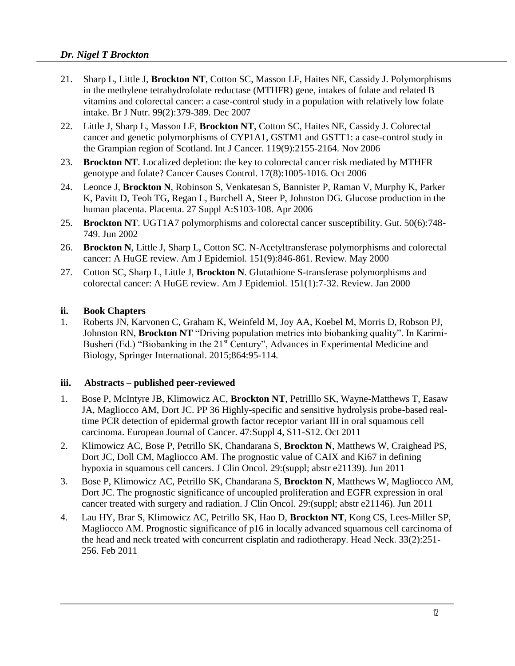#### *Dr. Nigel T Brockton*

- 21. Sharp L, Little J, **Brockton NT**, Cotton SC, Masson LF, Haites NE, Cassidy J. Polymorphisms in the methylene tetrahydrofolate reductase (MTHFR) gene, intakes of folate and related B vitamins and colorectal cancer: a case-control study in a population with relatively low folate intake. Br J Nutr. 99(2):379-389. Dec 2007
- 22. Little J, Sharp L, Masson LF, **Brockton NT**, Cotton SC, Haites NE, Cassidy J. Colorectal cancer and genetic polymorphisms of CYP1A1, GSTM1 and GSTT1: a case-control study in the Grampian region of Scotland. Int J Cancer. 119(9):2155-2164. Nov 2006
- 23. **Brockton NT**. Localized depletion: the key to colorectal cancer risk mediated by MTHFR genotype and folate? Cancer Causes Control. 17(8):1005-1016. Oct 2006
- 24. Leonce J, **Brockton N**, Robinson S, Venkatesan S, Bannister P, Raman V, Murphy K, Parker K, Pavitt D, Teoh TG, Regan L, Burchell A, Steer P, Johnston DG. Glucose production in the human placenta. Placenta. 27 Suppl A:S103-108. Apr 2006
- 25. **Brockton NT**. UGT1A7 polymorphisms and colorectal cancer susceptibility. Gut. 50(6):748- 749. Jun 2002
- 26. **Brockton N**, Little J, Sharp L, Cotton SC. N-Acetyltransferase polymorphisms and colorectal cancer: A HuGE review. Am J Epidemiol. 151(9):846-861. Review. May 2000
- 27. Cotton SC, Sharp L, Little J, **Brockton N**. Glutathione S-transferase polymorphisms and colorectal cancer: A HuGE review. Am J Epidemiol. 151(1):7-32. Review. Jan 2000

#### **ii. Book Chapters**

1. Roberts JN, Karvonen C, Graham K, Weinfeld M, Joy AA, Koebel M, Morris D, Robson PJ, Johnston RN, **Brockton NT** "Driving population metrics into biobanking quality". In Karimi-Busheri (Ed.) "Biobanking in the 21<sup>st</sup> Century", Advances in Experimental Medicine and Biology, Springer International. 2015;864:95-114*.*

#### **iii. Abstracts – published peer-reviewed**

- 1. Bose P, McIntyre JB, Klimowicz AC, **Brockton NT**, Petrilllo SK, Wayne-Matthews T, Easaw JA, Magliocco AM, Dort JC. PP 36 Highly-specific and sensitive hydrolysis probe-based realtime PCR detection of epidermal growth factor receptor variant III in oral squamous cell carcinoma. European Journal of Cancer. 47:Suppl 4, S11-S12. Oct 2011
- 2. Klimowicz AC, Bose P, Petrillo SK, Chandarana S, **Brockton N**, Matthews W, Craighead PS, Dort JC, Doll CM, Magliocco AM. The prognostic value of CAIX and Ki67 in defining hypoxia in squamous cell cancers. J Clin Oncol. 29:(suppl; abstr e21139). Jun 2011
- 3. Bose P, Klimowicz AC, Petrillo SK, Chandarana S, **Brockton N**, Matthews W, Magliocco AM, Dort JC. The prognostic significance of uncoupled proliferation and EGFR expression in oral cancer treated with surgery and radiation. J Clin Oncol. 29:(suppl; abstr e21146). Jun 2011
- 4. Lau HY, Brar S, Klimowicz AC, Petrillo SK, Hao D, **Brockton NT**, Kong CS, Lees-Miller SP, Magliocco AM. Prognostic significance of p16 in locally advanced squamous cell carcinoma of the head and neck treated with concurrent cisplatin and radiotherapy. Head Neck. 33(2):251- 256. Feb 2011